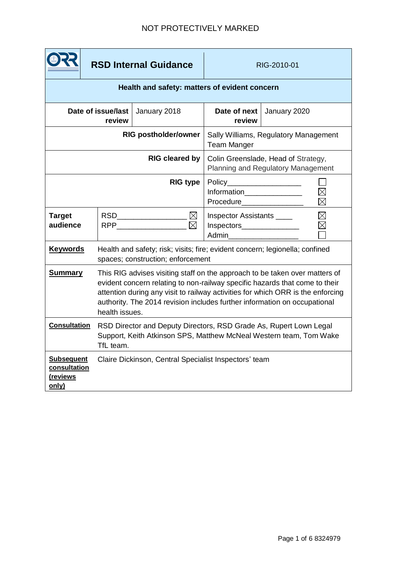## NOT PROTECTIVELY MARKED

|                                                        | <b>RSD Internal Guidance</b> |                                                                                                                                                                                                                                                                                                                                              | RIG-2010-01                                                               |                                                                                                      |  |
|--------------------------------------------------------|------------------------------|----------------------------------------------------------------------------------------------------------------------------------------------------------------------------------------------------------------------------------------------------------------------------------------------------------------------------------------------|---------------------------------------------------------------------------|------------------------------------------------------------------------------------------------------|--|
| Health and safety: matters of evident concern          |                              |                                                                                                                                                                                                                                                                                                                                              |                                                                           |                                                                                                      |  |
| Date of issue/last<br>review                           |                              | January 2018                                                                                                                                                                                                                                                                                                                                 | Date of next<br>review                                                    | January 2020                                                                                         |  |
| <b>RIG postholder/owner</b>                            |                              |                                                                                                                                                                                                                                                                                                                                              | Sally Williams, Regulatory Management<br><b>Team Manger</b>               |                                                                                                      |  |
| <b>RIG cleared by</b>                                  |                              |                                                                                                                                                                                                                                                                                                                                              | Colin Greenslade, Head of Strategy,<br>Planning and Regulatory Management |                                                                                                      |  |
| <b>RIG type</b>                                        |                              |                                                                                                                                                                                                                                                                                                                                              | $\boxtimes$<br>Information_______________<br>Procedure                    |                                                                                                      |  |
| <b>Target</b><br>audience                              |                              | RSD_______________________ $\boxtimes$<br>$\boxtimes$<br>RPP <b>Reserve</b>                                                                                                                                                                                                                                                                  |                                                                           | $\boxtimes$<br>Inspector Assistants ____<br>$\times$<br>$Inspectors$ $\qquad \qquad \qquad$<br>Admin |  |
| <b>Keywords</b>                                        |                              | Health and safety; risk; visits; fire; evident concern; legionella; confined<br>spaces; construction; enforcement                                                                                                                                                                                                                            |                                                                           |                                                                                                      |  |
| <b>Summary</b>                                         |                              | This RIG advises visiting staff on the approach to be taken over matters of<br>evident concern relating to non-railway specific hazards that come to their<br>attention during any visit to railway activities for which ORR is the enforcing<br>authority. The 2014 revision includes further information on occupational<br>health issues. |                                                                           |                                                                                                      |  |
| <b>Consultation</b>                                    | TfL team.                    | RSD Director and Deputy Directors, RSD Grade As, Rupert Lown Legal<br>Support, Keith Atkinson SPS, Matthew McNeal Western team, Tom Wake                                                                                                                                                                                                     |                                                                           |                                                                                                      |  |
| <b>Subsequent</b><br>consultation<br>(reviews<br>only) |                              | Claire Dickinson, Central Specialist Inspectors' team                                                                                                                                                                                                                                                                                        |                                                                           |                                                                                                      |  |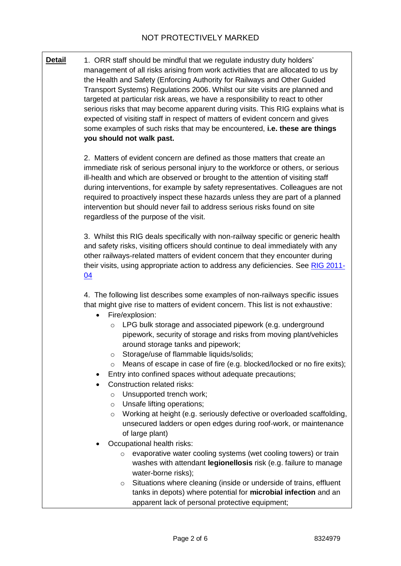**Detail** 1. ORR staff should be mindful that we regulate industry duty holders' management of all risks arising from work activities that are allocated to us by the Health and Safety (Enforcing Authority for Railways and Other Guided Transport Systems) Regulations 2006. Whilst our site visits are planned and targeted at particular risk areas, we have a responsibility to react to other serious risks that may become apparent during visits. This RIG explains what is expected of visiting staff in respect of matters of evident concern and gives some examples of such risks that may be encountered, **i.e. these are things you should not walk past.**

> 2. Matters of evident concern are defined as those matters that create an immediate risk of serious personal injury to the workforce or others, or serious ill-health and which are observed or brought to the attention of visiting staff during interventions, for example by safety representatives. Colleagues are not required to proactively inspect these hazards unless they are part of a planned intervention but should never fail to address serious risks found on site regardless of the purpose of the visit.

3. Whilst this RIG deals specifically with non-railway specific or generic health and safety risks, visiting officers should continue to deal immediately with any other railways-related matters of evident concern that they encounter during their visits, using appropriate action to address any deficiencies. See [RIG 2011-](https://orr.box.com/s/hku5ayzqpoejstxxrh9o7r03nh1bpkts) [04](https://orr.box.com/s/hku5ayzqpoejstxxrh9o7r03nh1bpkts)

4. The following list describes some examples of non-railways specific issues that might give rise to matters of evident concern. This list is not exhaustive:

- Fire/explosion:
	- o LPG bulk storage and associated pipework (e.g. underground pipework, security of storage and risks from moving plant/vehicles around storage tanks and pipework;
	- o Storage/use of flammable liquids/solids;
	- o Means of escape in case of fire (e.g. blocked/locked or no fire exits);
- Entry into confined spaces without adequate precautions;
- Construction related risks:
	- o Unsupported trench work;
	- o Unsafe lifting operations;
	- o Working at height (e.g. seriously defective or overloaded scaffolding, unsecured ladders or open edges during roof-work, or maintenance of large plant)
- Occupational health risks:
	- o evaporative water cooling systems (wet cooling towers) or train washes with attendant **legionellosis** risk (e.g. failure to manage water-borne risks);
	- o Situations where cleaning (inside or underside of trains, effluent tanks in depots) where potential for **microbial infection** and an apparent lack of personal protective equipment;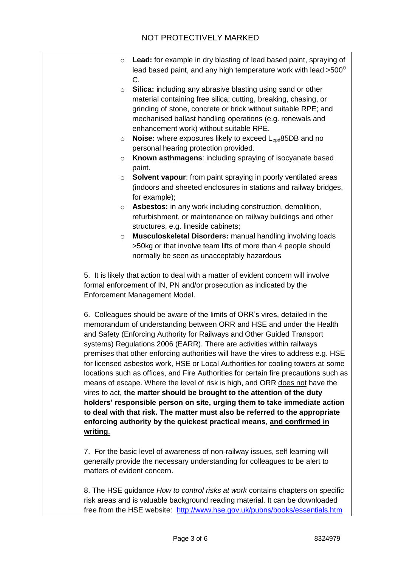- o **Lead:** for example in dry blasting of lead based paint, spraying of lead based paint, and any high temperature work with lead  $>500^\circ$ C.
- o **Silica:** including any abrasive blasting using sand or other material containing free silica; cutting, breaking, chasing, or grinding of stone, concrete or brick without suitable RPE; and mechanised ballast handling operations (e.g. renewals and enhancement work) without suitable RPE.
- o **Noise:** where exposures likely to exceed Lepd85DB and no personal hearing protection provided.
- o **Known asthmagens**: including spraying of isocyanate based paint.
- o **Solvent vapour**: from paint spraying in poorly ventilated areas (indoors and sheeted enclosures in stations and railway bridges, for example);
- o **Asbestos:** in any work including construction, demolition, refurbishment, or maintenance on railway buildings and other structures, e.g. lineside cabinets;
- o **Musculoskeletal Disorders:** manual handling involving loads >50kg or that involve team lifts of more than 4 people should normally be seen as unacceptably hazardous

5. It is likely that action to deal with a matter of evident concern will involve formal enforcement of IN, PN and/or prosecution as indicated by the Enforcement Management Model.

6. Colleagues should be aware of the limits of ORR's vires, detailed in the memorandum of understanding between ORR and HSE and under the Health and Safety (Enforcing Authority for Railways and Other Guided Transport systems) Regulations 2006 (EARR). There are activities within railways premises that other enforcing authorities will have the vires to address e.g. HSE for licensed asbestos work, HSE or Local Authorities for cooling towers at some locations such as offices, and Fire Authorities for certain fire precautions such as means of escape. Where the level of risk is high, and ORR does not have the vires to act, **the matter should be brought to the attention of the duty holders' responsible person on site, urging them to take immediate action to deal with that risk. The matter must also be referred to the appropriate enforcing authority by the quickest practical means**, **and confirmed in writing**.

7. For the basic level of awareness of non-railway issues, self learning will generally provide the necessary understanding for colleagues to be alert to matters of evident concern.

8. The HSE guidance *How to control risks at work* contains chapters on specific risk areas and is valuable background reading material. It can be downloaded free from the HSE website: <http://www.hse.gov.uk/pubns/books/essentials.htm>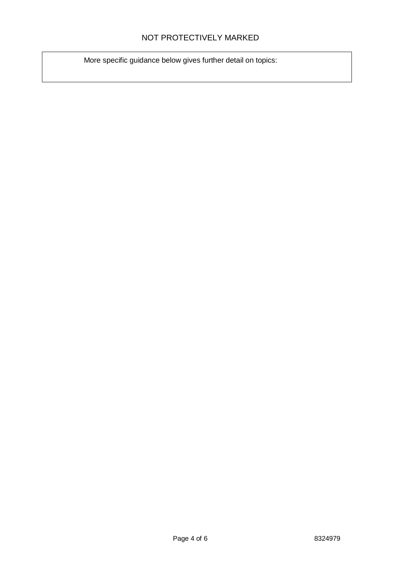## NOT PROTECTIVELY MARKED

More specific guidance below gives further detail on topics: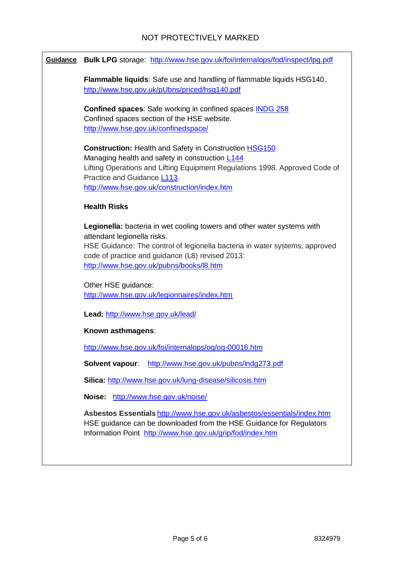| Guidance Bulk LPG storage: http://www.hse.gov.uk/foi/internalops/fod/inspect/lpg.pdf                                                                                                                                                                                                  |  |  |  |  |
|---------------------------------------------------------------------------------------------------------------------------------------------------------------------------------------------------------------------------------------------------------------------------------------|--|--|--|--|
| Flammable liquids: Safe use and handling of flammable liquids HSG140.<br>http://www.hse.gov.uk/pUbns/priced/hsg140.pdf                                                                                                                                                                |  |  |  |  |
| <b>Confined spaces:</b> Safe working in confined spaces <b>INDG 258</b><br>Confined spaces section of the HSE website.<br>http://www.hse.gov.uk/confinedspace/                                                                                                                        |  |  |  |  |
| <b>Construction: Health and Safety in Construction HSG150</b><br>Managing health and safety in construction L144<br>Lifting Operations and Lifting Equipment Regulations 1998. Approved Code of<br>Practice and Guidance L113.<br>http://www.hse.gov.uk/construction/index.htm        |  |  |  |  |
| <b>Health Risks</b>                                                                                                                                                                                                                                                                   |  |  |  |  |
| Legionella: bacteria in wet cooling towers and other water systems with<br>attendant legionella risks.<br>HSE Guidance: The control of legionella bacteria in water systems, approved<br>code of practice and guidance (L8) revised 2013:<br>http://www.hse.gov.uk/pubns/books/l8.htm |  |  |  |  |
| Other HSE guidance:<br>http://www.hse.gov.uk/legionnaires/index.htm                                                                                                                                                                                                                   |  |  |  |  |
| Lead: http://www.hse.gov.uk/lead/                                                                                                                                                                                                                                                     |  |  |  |  |
| Known asthmagens:                                                                                                                                                                                                                                                                     |  |  |  |  |
| http://www.hse.gov.uk/foi/internalops/og/og-00016.htm                                                                                                                                                                                                                                 |  |  |  |  |
| Solvent vapour:<br>http://www.hse.gov.uk/pubns/indg273.pdf<br>Silica: http://www.hse.gov.uk/lung-disease/silicosis.htm                                                                                                                                                                |  |  |  |  |
| http://www.hse.gov.uk/noise/<br>Noise:                                                                                                                                                                                                                                                |  |  |  |  |
| Asbestos Essentials http://www.hse.gov.uk/asbestos/essentials/index.htm<br>HSE guidance can be downloaded from the HSE Guidance for Regulators<br>Information Point http://www.hse.gov.uk/grip/fod/index.htm                                                                          |  |  |  |  |
|                                                                                                                                                                                                                                                                                       |  |  |  |  |